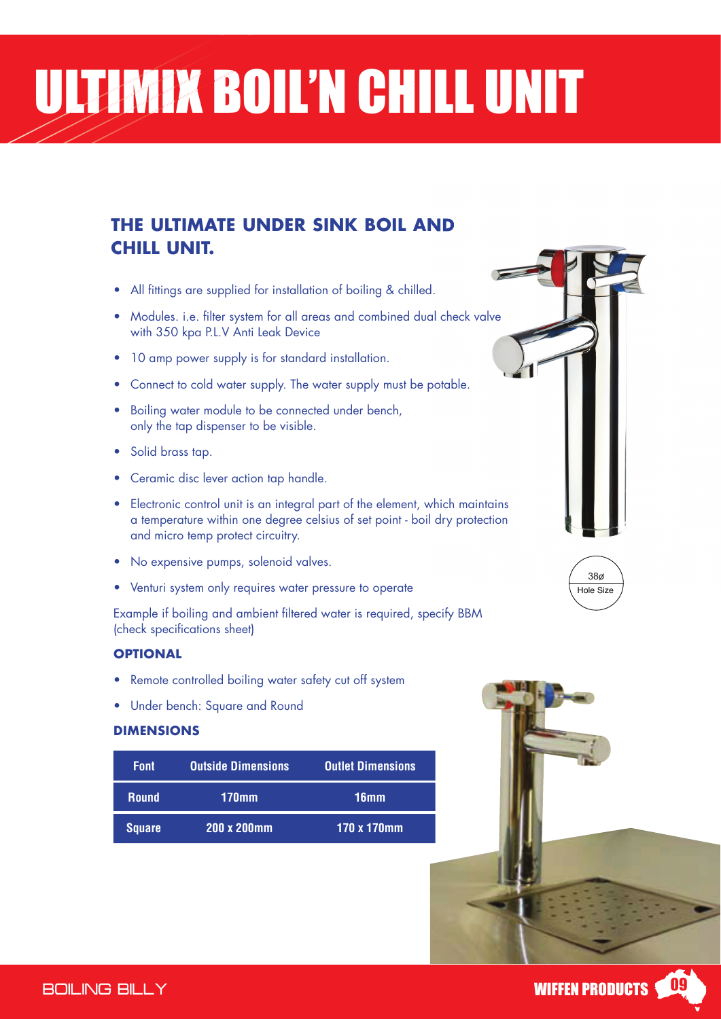# ULTIMIX BOIL'N CHILL UNIT

### **THE ULTIMATE UNDER SINK BOIL AND CHILL UNIT.**

- All fittings are supplied for installation of boiling & chilled.
- Modules. i.e. filter system for all areas and combined dual check valve modules. It is twin filter system for all areas and compiled about with 350 kpa P.L.V Anti Leak Device
- 10 amp power supply is for standard installation. 10 amp power supply is for standard installation.
- Connect to cold water supply. The water supply must be potable.
- Boiling water module to be connected under bench, only the tap dispenser to be visible.
- the tap dispenser to be visible. • Solid brass tap. • Solid brass tap.
- Ceramic disc lever action tap handle. Ceramic disc lever action tap handle.
- Electronic control unit is an integral part of the element, Electronic control unit is an integral part of the element, which maintains a temperature within one degree celsius of set point - boil dry protection and micro temp protect circuitry.
- No expensive pumps, solenoid valves.
- Venturi system only requires water pressure to operate

(check specifications sheet) water is required,  $\epsilon$ Example if boiling and ambient filtered water is required, specify BBM

### **SPECIFICATION BELOW SHEET SHEET SHEET SHEET SHEET SHEET SHEET SHEET SHEET SHEET SHEET SHEET SHEET SHEET SHEET SHEET SHEET SHEET SHEET SHEET SHEET SHEET SHEET SHEET SHEET SHEET SHEET SHEET SHEET SHEET SHEET SHEET SHEET SHE**

- Remote controlled boiling water safety cut off system
- **•** Under bench: Square and Round

#### • Remote controlled boiling water safety cut off system **DIMENSIONS**

| <b>Font</b>   | <b>Outside Dimensions</b> | <b>Outlet Dimensions</b> |
|---------------|---------------------------|--------------------------|
| <b>Round</b>  | 170mm                     | 16mm                     |
| <b>Square</b> | 200 x 200mm               | 170 x 170mm              |







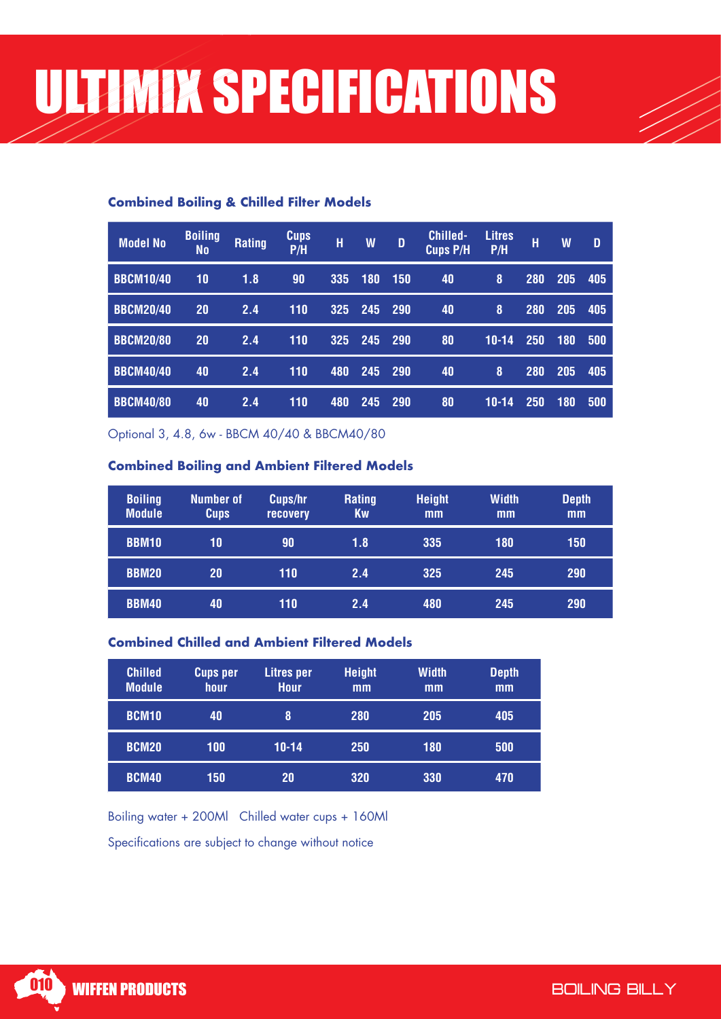#### **Combined Boiling & Chilled Filter Models**

| <b>Model No</b>  | <b>Boiling</b><br>No | <b>Rating</b> | <b>Cups</b><br>P/H | H   | W   | D          | <b>Chilled-</b><br><b>Cups P/H</b> | <b>Litres</b><br>P/H | н   | W   | D   |
|------------------|----------------------|---------------|--------------------|-----|-----|------------|------------------------------------|----------------------|-----|-----|-----|
| <b>BBCM10/40</b> | 10                   | 1.8           | 90                 | 335 | 180 | 150        | 40                                 | 8                    | 280 | 205 | 405 |
| <b>BBCM20/40</b> | 20                   | 2.4           | 110                | 325 | 245 | 290        | 40                                 | 8                    | 280 | 205 | 405 |
| <b>BBCM20/80</b> | <b>20</b>            | 2.4           | 110                | 325 | 245 | 290        | 80                                 | $10 - 14$            | 250 | 180 | 500 |
| <b>BBCM40/40</b> | 40                   | 2.4           | 110                | 480 | 245 | <b>290</b> | 40                                 | 8                    | 280 | 205 | 405 |
| <b>BBCM40/80</b> | 40                   | 2.4           | 110                | 480 | 245 | 290        | 80                                 | $10 - 14$            | 250 | 180 | 500 |

Optional 3, 4.8, 6w - BBCM 40/40 & BBCM40/80

#### **Combined Boiling and Ambient Filtered Models**

| <b>Boiling</b><br><b>Module</b> | <b>Number of</b><br><b>Cups</b> | Cups/hr<br><b>recovery</b> | Rating<br>Kw | <b>Height</b><br>mm | <b>Width</b><br>mm | <b>Depth</b><br>mm |
|---------------------------------|---------------------------------|----------------------------|--------------|---------------------|--------------------|--------------------|
| <b>BBM10</b>                    | 10                              | 90                         | 1.8          | 335                 | 180                | 150                |
| <b>BBM20</b>                    | 20                              | 110                        | 2.4          | 325                 | 245                | 290                |
| <b>BBM40</b>                    | 40                              | 110                        | 2.4          | 480                 | 245                | 290                |

#### **Combined Chilled and Ambient Filtered Models**

| <b>Chilled</b><br><b>Module</b> | <b>Cups per</b><br>hour | Litres per<br><b>Hour</b> | <b>Height</b><br>mm | Width<br>mm | <b>Depth</b><br>mm |
|---------------------------------|-------------------------|---------------------------|---------------------|-------------|--------------------|
| <b>BCM10</b>                    | 40                      | 8                         | 280                 | 205         | 405                |
| <b>BCM20</b>                    | 100                     | $10 - 14$                 | 250                 | 180         | 500                |
| <b>BCM40</b>                    | 150                     | 20                        | 320                 | 330         | 470                |

Boiling water + 200Ml Chilled water cups + 160Ml

Specifications are subject to change without notice

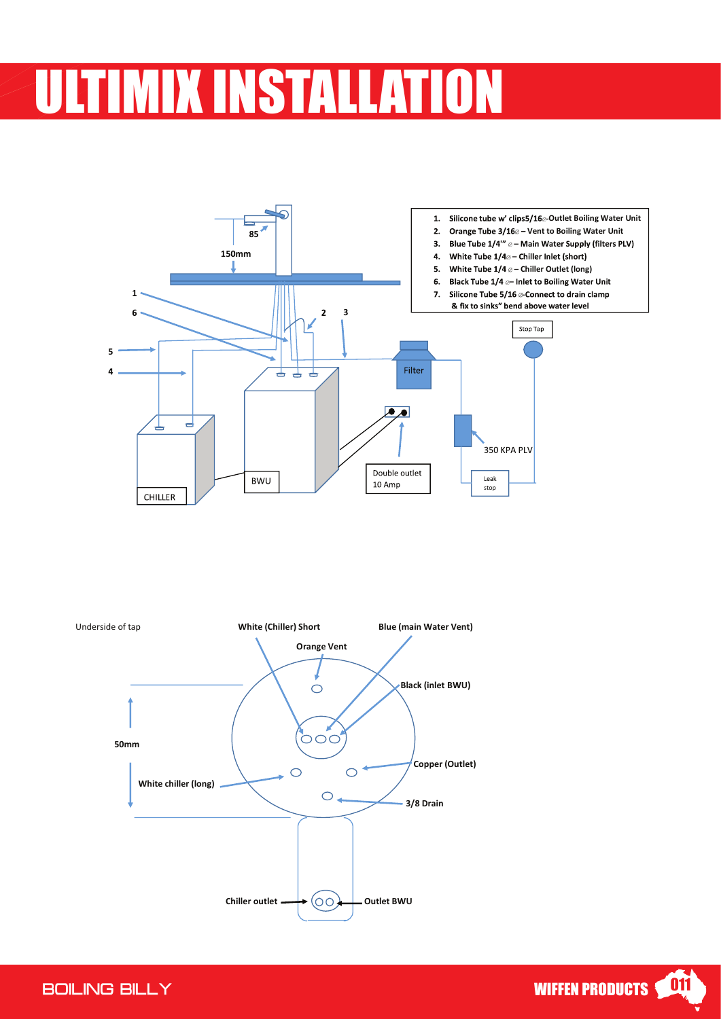## **VIIX INSTALLATION**